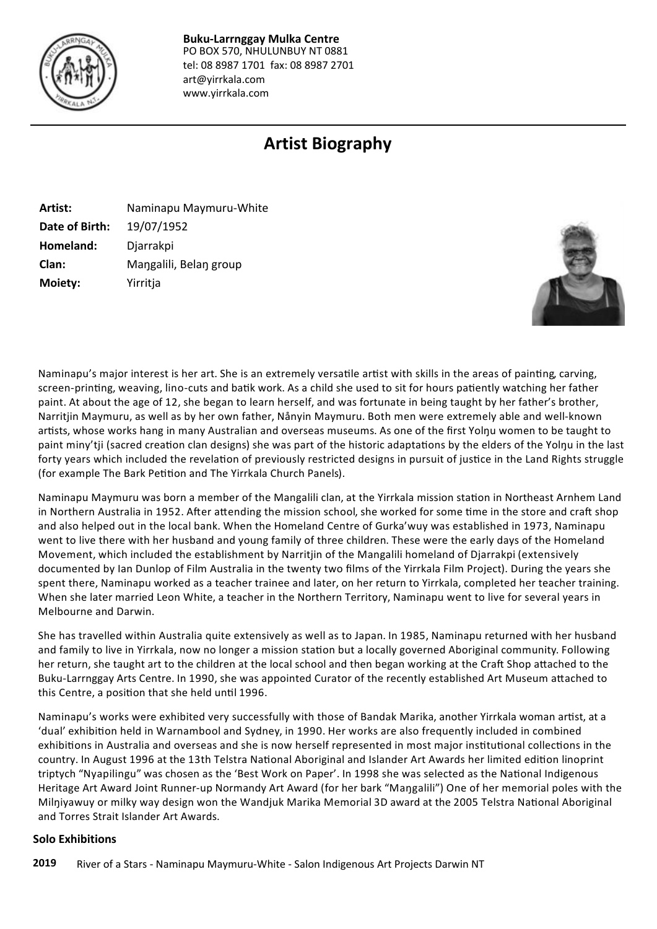

PO BOX 570, NHULUNBUY NT 0881 tel: 08 8987 1701 fax: 08 8987 2701 art@yirrkala.com www.yirrkala.com **Buku-Larrnggay Mulka Centre**

# **Artist Biography**

| Artist:        | Naminapu Maymuru-White |
|----------------|------------------------|
| Date of Birth: | 19/07/1952             |
| Homeland:      | Djarrakpi              |
| Clan:          | Mangalili, Belan group |
| Moiety:        | Yirritja               |



Naminapu's major interest is her art. She is an extremely versatile artist with skills in the areas of painting, carving, screen-printing, weaving, lino-cuts and batik work. As a child she used to sit for hours patiently watching her father paint. At about the age of 12, she began to learn herself, and was fortunate in being taught by her father's brother, Narritjin Maymuru, as well as by her own father, Nånyin Maymuru. Both men were extremely able and well-known artists, whose works hang in many Australian and overseas museums. As one of the first Yolnu women to be taught to paint miny'tji (sacred creation clan designs) she was part of the historic adaptations by the elders of the Yolnu in the last forty years which included the revelation of previously restricted designs in pursuit of justice in the Land Rights struggle (for example The Bark Petition and The Yirrkala Church Panels).

Naminapu Maymuru was born a member of the Mangalili clan, at the Yirrkala mission station in Northeast Arnhem Land in Northern Australia in 1952. After attending the mission school, she worked for some time in the store and craft shop and also helped out in the local bank. When the Homeland Centre of Gurka'wuy was established in 1973, Naminapu went to live there with her husband and young family of three children. These were the early days of the Homeland Movement, which included the establishment by Narritjin of the Mangalili homeland of Djarrakpi (extensively documented by Ian Dunlop of Film Australia in the twenty two films of the Yirrkala Film Project). During the years she spent there, Naminapu worked as a teacher trainee and later, on her return to Yirrkala, completed her teacher training. When she later married Leon White, a teacher in the Northern Territory, Naminapu went to live for several years in Melbourne and Darwin.

She has travelled within Australia quite extensively as well as to Japan. In 1985, Naminapu returned with her husband and family to live in Yirrkala, now no longer a mission station but a locally governed Aboriginal community. Following her return, she taught art to the children at the local school and then began working at the Craft Shop attached to the Buku-Larrnggay Arts Centre. In 1990, she was appointed Curator of the recently established Art Museum attached to this Centre, a position that she held until 1996.

Naminapu's works were exhibited very successfully with those of Bandak Marika, another Yirrkala woman artist, at a 'dual' exhibiƟon held in Warnambool and Sydney, in 1990. Her works are also frequently included in combined exhibitions in Australia and overseas and she is now herself represented in most major institutional collections in the country. In August 1996 at the 13th Telstra National Aboriginal and Islander Art Awards her limited edition linoprint triptych "Nyapilingu" was chosen as the 'Best Work on Paper'. In 1998 she was selected as the National Indigenous Heritage Art Award Joint Runner-up Normandy Art Award (for her bark "Maŋgalili") One of her memorial poles with the Milniyawuy or milky way design won the Wandjuk Marika Memorial 3D award at the 2005 Telstra National Aboriginal and Torres Strait Islander Art Awards.

#### **Solo Exhibitions**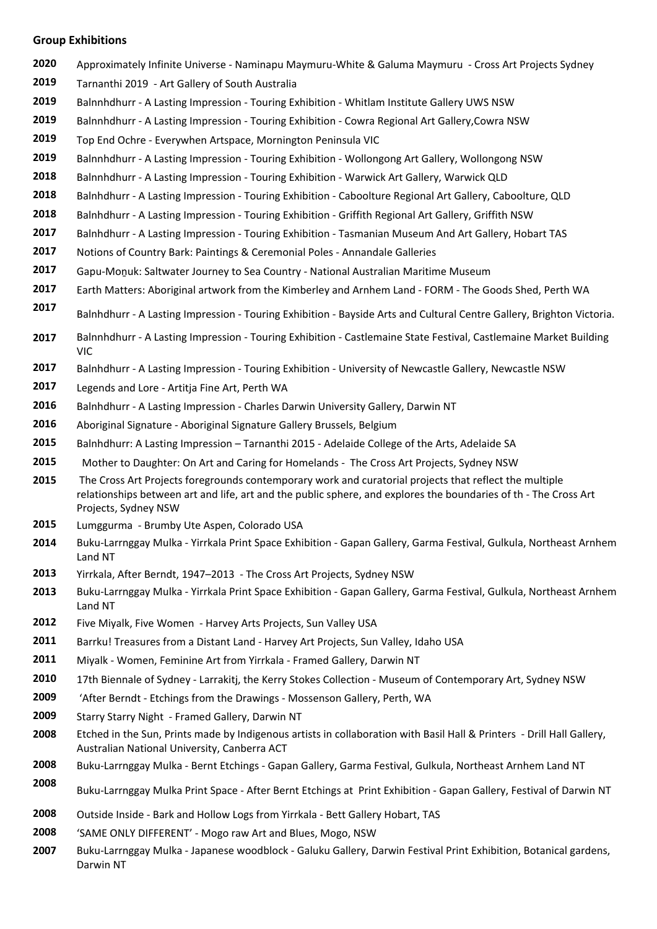#### **Group Exhibitions**

- Approximately Infinite Universe Naminapu Maymuru-White & Galuma Maymuru Cross Art Projects Sydney
- Tarnanthi 2019 Art Gallery of South Australia
- Balnnhdhurr A Lasting Impression Touring Exhibition Whitlam Institute Gallery UWS NSW
- Balnnhdhurr A Lasting Impression Touring Exhibition Cowra Regional Art Gallery,Cowra NSW
- Top End Ochre Everywhen Artspace, Mornington Peninsula VIC
- Balnnhdhurr A Lasting Impression Touring Exhibition Wollongong Art Gallery, Wollongong NSW
- Balnnhdhurr A Lasting Impression Touring Exhibition Warwick Art Gallery, Warwick QLD
- Balnhdhurr A Lasting Impression Touring Exhibition Caboolture Regional Art Gallery, Caboolture, QLD
- Balnhdhurr A Lasting Impression Touring Exhibition Griffith Regional Art Gallery, Griffith NSW
- Balnhdhurr A Lasting Impression Touring Exhibition Tasmanian Museum And Art Gallery, Hobart TAS
- Notions of Country Bark: Paintings & Ceremonial Poles Annandale Galleries
- Gapu-Moṉuk: Saltwater Journey to Sea Country National Australian Maritime Museum
- Earth Matters: Aboriginal artwork from the Kimberley and Arnhem Land FORM The Goods Shed, Perth WA
- Balnhdhurr A Lasting Impression Touring Exhibition Bayside Arts and Cultural Centre Gallery, Brighton Victoria.
- Balnnhdhurr A Lasting Impression Touring Exhibition Castlemaine State Festival, Castlemaine Market Building VIC
- Balnhdhurr A Lasting Impression Touring Exhibition University of Newcastle Gallery, Newcastle NSW
- Legends and Lore Artitja Fine Art, Perth WA
- Balnhdhurr A Lasting Impression Charles Darwin University Gallery, Darwin NT
- Aboriginal Signature Aboriginal Signature Gallery Brussels, Belgium
- Balnhdhurr: A Lasting Impression Tarnanthi 2015 Adelaide College of the Arts, Adelaide SA
- Mother to Daughter: On Art and Caring for Homelands The Cross Art Projects, Sydney NSW
- The Cross Art Projects foregrounds contemporary work and curatorial projects that reflect the multiple relationships between art and life, art and the public sphere, and explores the boundaries of th - The Cross Art Projects, Sydney NSW
- Lumggurma Brumby Ute Aspen, Colorado USA
- Buku-Larrnggay Mulka Yirrkala Print Space Exhibition Gapan Gallery, Garma Festival, Gulkula, Northeast Arnhem Land NT
- Yirrkala, After Berndt, 1947–2013 The Cross Art Projects, Sydney NSW
- Buku-Larrnggay Mulka Yirrkala Print Space Exhibition Gapan Gallery, Garma Festival, Gulkula, Northeast Arnhem Land NT
- Five Miyalk, Five Women Harvey Arts Projects, Sun Valley USA
- Barrku! Treasures from a Distant Land Harvey Art Projects, Sun Valley, Idaho USA
- Miyalk Women, Feminine Art from Yirrkala Framed Gallery, Darwin NT
- 17th Biennale of Sydney Larrakitj, the Kerry Stokes Collection Museum of Contemporary Art, Sydney NSW
- 'After Berndt Etchings from the Drawings Mossenson Gallery, Perth, WA
- Starry Starry Night Framed Gallery, Darwin NT
- Etched in the Sun, Prints made by Indigenous artists in collaboration with Basil Hall & Printers Drill Hall Gallery, Australian National University, Canberra ACT
- Buku-Larrnggay Mulka Bernt Etchings Gapan Gallery, Garma Festival, Gulkula, Northeast Arnhem Land NT
- Buku-Larrnggay Mulka Print Space After Bernt Etchings at Print Exhibition Gapan Gallery, Festival of Darwin NT
- Outside Inside Bark and Hollow Logs from Yirrkala Bett Gallery Hobart, TAS
- 'SAME ONLY DIFFERENT' Mogo raw Art and Blues, Mogo, NSW
- Buku-Larrnggay Mulka Japanese woodblock Galuku Gallery, Darwin Festival Print Exhibition, Botanical gardens, Darwin NT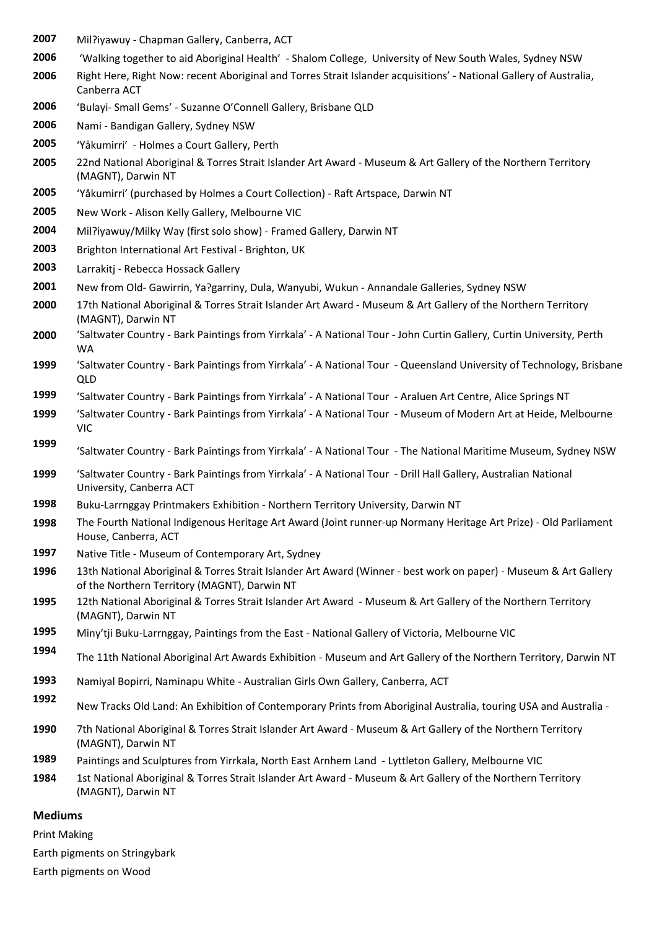- Mil?iyawuy Chapman Gallery, Canberra, ACT
- 'Walking together to aid Aboriginal Health' Shalom College, University of New South Wales, Sydney NSW
- Right Here, Right Now: recent Aboriginal and Torres Strait Islander acquisitions' National Gallery of Australia, Canberra ACT
- 'Bulayi- Small Gems' Suzanne O'Connell Gallery, Brisbane QLD
- Nami Bandigan Gallery, Sydney NSW
- 'Yåkumirri' Holmes a Court Gallery, Perth
- 22nd National Aboriginal & Torres Strait Islander Art Award Museum & Art Gallery of the Northern Territory (MAGNT), Darwin NT
- 'Yåkumirri' (purchased by Holmes a Court Collection) Raft Artspace, Darwin NT
- New Work Alison Kelly Gallery, Melbourne VIC
- Mil?iyawuy/Milky Way (first solo show) Framed Gallery, Darwin NT
- Brighton International Art Festival Brighton, UK
- Larrakitj Rebecca Hossack Gallery
- New from Old- Gawirrin, Ya?garriny, Dula, Wanyubi, Wukun Annandale Galleries, Sydney NSW
- 17th National Aboriginal & Torres Strait Islander Art Award Museum & Art Gallery of the Northern Territory (MAGNT), Darwin NT
- 'Saltwater Country Bark Paintings from Yirrkala' A National Tour John Curtin Gallery, Curtin University, Perth WA
- 'Saltwater Country Bark Paintings from Yirrkala' A National Tour Queensland University of Technology, Brisbane QLD
- 'Saltwater Country Bark Paintings from Yirrkala' A National Tour Araluen Art Centre, Alice Springs NT
- 'Saltwater Country Bark Paintings from Yirrkala' A National Tour Museum of Modern Art at Heide, Melbourne VIC
- 'Saltwater Country Bark Paintings from Yirrkala' A National Tour The National Maritime Museum, Sydney NSW
- 'Saltwater Country Bark Paintings from Yirrkala' A National Tour Drill Hall Gallery, Australian National University, Canberra ACT
- Buku-Larrnggay Printmakers Exhibition Northern Territory University, Darwin NT
- The Fourth National Indigenous Heritage Art Award (Joint runner-up Normany Heritage Art Prize) Old Parliament House, Canberra, ACT
- Native Title Museum of Contemporary Art, Sydney
- 13th National Aboriginal & Torres Strait Islander Art Award (Winner best work on paper) Museum & Art Gallery of the Northern Territory (MAGNT), Darwin NT
- 12th National Aboriginal & Torres Strait Islander Art Award Museum & Art Gallery of the Northern Territory (MAGNT), Darwin NT
- Miny'tji Buku-Larrnggay, Paintings from the East National Gallery of Victoria, Melbourne VIC
- The 11th National Aboriginal Art Awards Exhibition Museum and Art Gallery of the Northern Territory, Darwin NT
- Namiyal Bopirri, Naminapu White Australian Girls Own Gallery, Canberra, ACT
- New Tracks Old Land: An Exhibition of Contemporary Prints from Aboriginal Australia, touring USA and Australia -
- 7th National Aboriginal & Torres Strait Islander Art Award Museum & Art Gallery of the Northern Territory (MAGNT), Darwin NT
- Paintings and Sculptures from Yirrkala, North East Arnhem Land Lyttleton Gallery, Melbourne VIC
- 1st National Aboriginal & Torres Strait Islander Art Award Museum & Art Gallery of the Northern Territory (MAGNT), Darwin NT

#### **Mediums**

Print Making

Earth pigments on Stringybark

Earth pigments on Wood